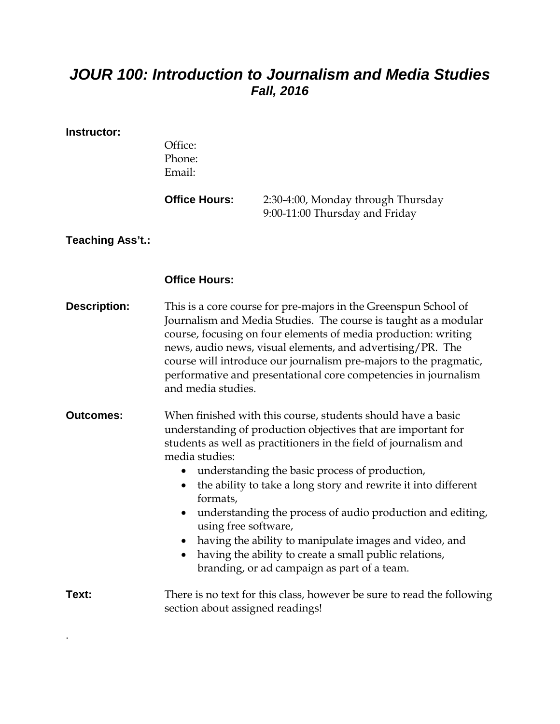## *JOUR 100: Introduction to Journalism and Media Studies Fall, 2016*

## **Instructor:**

.

|                     | Office:<br>Phone:<br>Email:                                                                                                                                                                                                                                                                                                                                                                                                                                                                                                                                                                                               |                                                                      |  |
|---------------------|---------------------------------------------------------------------------------------------------------------------------------------------------------------------------------------------------------------------------------------------------------------------------------------------------------------------------------------------------------------------------------------------------------------------------------------------------------------------------------------------------------------------------------------------------------------------------------------------------------------------------|----------------------------------------------------------------------|--|
|                     | <b>Office Hours:</b>                                                                                                                                                                                                                                                                                                                                                                                                                                                                                                                                                                                                      | 2:30-4:00, Monday through Thursday<br>9:00-11:00 Thursday and Friday |  |
| Teaching Ass't.:    |                                                                                                                                                                                                                                                                                                                                                                                                                                                                                                                                                                                                                           |                                                                      |  |
|                     | <b>Office Hours:</b>                                                                                                                                                                                                                                                                                                                                                                                                                                                                                                                                                                                                      |                                                                      |  |
| <b>Description:</b> | This is a core course for pre-majors in the Greenspun School of<br>Journalism and Media Studies. The course is taught as a modular<br>course, focusing on four elements of media production: writing<br>news, audio news, visual elements, and advertising/PR. The<br>course will introduce our journalism pre-majors to the pragmatic,<br>performative and presentational core competencies in journalism<br>and media studies.                                                                                                                                                                                          |                                                                      |  |
| <b>Outcomes:</b>    | When finished with this course, students should have a basic<br>understanding of production objectives that are important for<br>students as well as practitioners in the field of journalism and<br>media studies:<br>understanding the basic process of production,<br>the ability to take a long story and rewrite it into different<br>$\bullet$<br>formats,<br>understanding the process of audio production and editing,<br>using free software,<br>having the ability to manipulate images and video, and<br>having the ability to create a small public relations,<br>branding, or ad campaign as part of a team. |                                                                      |  |
| Text:               | There is no text for this class, however be sure to read the following<br>section about assigned readings!                                                                                                                                                                                                                                                                                                                                                                                                                                                                                                                |                                                                      |  |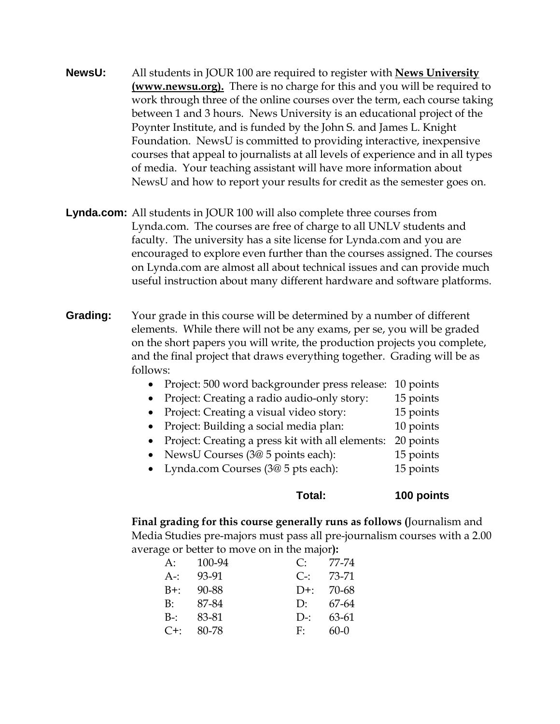- **NewsU:** All students in JOUR 100 are required to register with **News University (www.newsu.org).** There is no charge for this and you will be required to work through three of the online courses over the term, each course taking between 1 and 3 hours. News University is an educational project of the Poynter Institute, and is funded by the John S. and James L. Knight Foundation. NewsU is committed to providing interactive, inexpensive courses that appeal to journalists at all levels of experience and in all types of media. Your teaching assistant will have more information about NewsU and how to report your results for credit as the semester goes on.
- **Lynda.com:** All students in JOUR 100 will also complete three courses from Lynda.com. The courses are free of charge to all UNLV students and faculty. The university has a site license for Lynda.com and you are encouraged to explore even further than the courses assigned. The courses on Lynda.com are almost all about technical issues and can provide much useful instruction about many different hardware and software platforms.
- **Grading:** Your grade in this course will be determined by a number of different elements. While there will not be any exams, per se, you will be graded on the short papers you will write, the production projects you complete, and the final project that draws everything together. Grading will be as follows:
	- Project: 500 word backgrounder press release: 10 points
	- Project: Creating a radio audio-only story: 15 points
	- Project: Creating a visual video story: 15 points Project: Building a social media plan: 10 points
	- Project: Creating a press kit with all elements: 20 points
	- NewsU Courses (3@ 5 points each): 15 points
	- Lynda.com Courses (3@ 5 pts each): 15 points

**Total: 100 points**

**Final grading for this course generally runs as follows (**Journalism and Media Studies pre-majors must pass all pre-journalism courses with a 2.00 average or better to move on in the major**):**

| A:      | 100-94 | C:           | 77-74  |
|---------|--------|--------------|--------|
| $A-$    | 93-91  | $C_{\Xi}$    | 73-71  |
| $B+$    | 90-88  | $D+$         | 70-68  |
| B:      | 87-84  | $\Gamma$     | 67-64  |
| $B-$ :  | 83-81  | $D_{\tau}$ : | 63-61  |
| $C^+$ : | 80-78  | F:           | $60-0$ |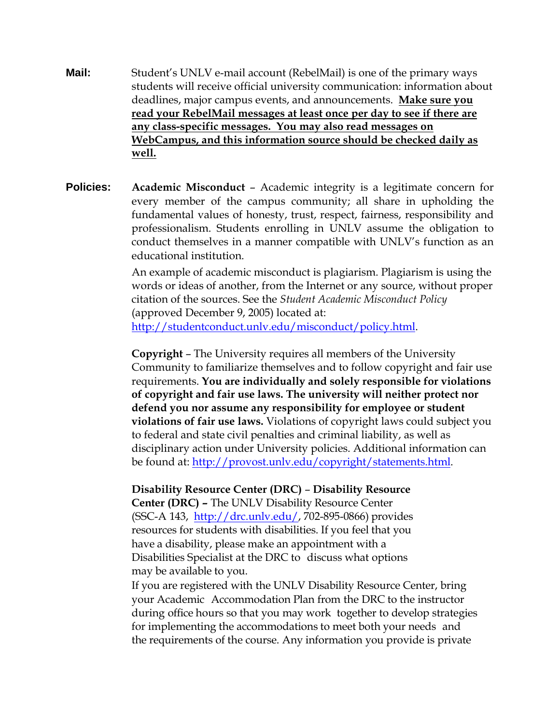- **Mail:** Student's UNLV e-mail account (RebelMail) is one of the primary ways students will receive official university communication: information about deadlines, major campus events, and announcements. **Make sure you read your RebelMail messages at least once per day to see if there are any class-specific messages. You may also read messages on WebCampus, and this information source should be checked daily as well.**
- **Policies: Academic Misconduct**  Academic integrity is a legitimate concern for every member of the campus community; all share in upholding the fundamental values of honesty, trust, respect, fairness, responsibility and professionalism. Students enrolling in UNLV assume the obligation to conduct themselves in a manner compatible with UNLV's function as an educational institution.

An example of academic misconduct is plagiarism. Plagiarism is using the words or ideas of another, from the Internet or any source, without proper citation of the sources. See the *Student Academic Misconduct Policy* (approved December 9, 2005) located at: [http://studentconduct.unlv.edu/misconduct/policy.html.](http://studentconduct.unlv.edu/misconduct/policy.html)

**Copyright** – The University requires all members of the University Community to familiarize themselves and to follow copyright and fair use requirements. **You are individually and solely responsible for violations of copyright and fair use laws. The university will neither protect nor defend you nor assume any responsibility for employee or student violations of fair use laws.** Violations of copyright laws could subject you to federal and state civil penalties and criminal liability, as well as disciplinary action under University policies. Additional information can be found at: [http://provost.unlv.edu/copyright/statements.html.](http://provost.unlv.edu/copyright/statements.html)

## **Disability Resource Center (DRC)** – **Disability Resource**

**Center (DRC) –** The UNLV Disability Resource Center (SSC-A 143, [http://drc.unlv.edu/,](http://drc.unlv.edu/) 702-895-0866) provides resources for students with disabilities. If you feel that you have a disability, please make an appointment with a Disabilities Specialist at the DRC to discuss what options may be available to you.

If you are registered with the UNLV Disability Resource Center, bring your Academic Accommodation Plan from the DRC to the instructor during office hours so that you may work together to develop strategies for implementing the accommodations to meet both your needs and the requirements of the course. Any information you provide is private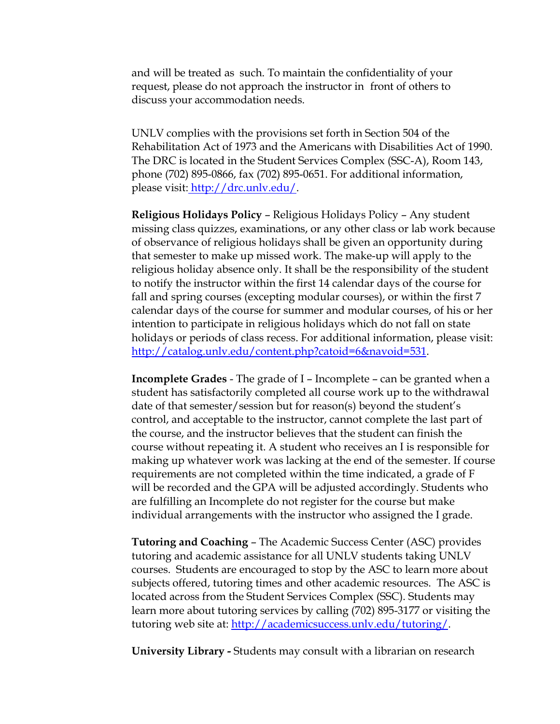and will be treated as such. To maintain the confidentiality of your request, please do not approach the instructor in front of others to discuss your accommodation needs.

UNLV complies with the provisions set forth in Section 504 of the Rehabilitation Act of 1973 and the Americans with Disabilities Act of 1990. The DRC is located in the Student Services Complex (SSC-A), Room 143, phone (702) 895-0866, fax (702) 895-0651. For additional information, please visit: [http://drc.unlv.edu/.](http://drc.unlv.edu/)

**Religious Holidays Policy** – Religious Holidays Policy – Any student missing class quizzes, examinations, or any other class or lab work because of observance of religious holidays shall be given an opportunity during that semester to make up missed work. The make-up will apply to the religious holiday absence only. It shall be the responsibility of the student to notify the instructor within the first 14 calendar days of the course for fall and spring courses (excepting modular courses), or within the first 7 calendar days of the course for summer and modular courses, of his or her intention to participate in religious holidays which do not fall on state holidays or periods of class recess. For additional information, please visit: [http://catalog.unlv.edu/content.php?catoid=6&navoid=531.](http://catalog.unlv.edu/content.php?catoid=6&navoid=531)

**Incomplete Grades** - The grade of I – Incomplete – can be granted when a student has satisfactorily completed all course work up to the withdrawal date of that semester/session but for reason(s) beyond the student's control, and acceptable to the instructor, cannot complete the last part of the course, and the instructor believes that the student can finish the course without repeating it. A student who receives an I is responsible for making up whatever work was lacking at the end of the semester. If course requirements are not completed within the time indicated, a grade of F will be recorded and the GPA will be adjusted accordingly. Students who are fulfilling an Incomplete do not register for the course but make individual arrangements with the instructor who assigned the I grade.

**Tutoring and Coaching** – The Academic Success Center (ASC) provides tutoring and academic assistance for all UNLV students taking UNLV courses. Students are encouraged to stop by the ASC to learn more about subjects offered, tutoring times and other academic resources. The ASC is located across from the Student Services Complex (SSC). Students may learn more about tutoring services by calling (702) 895-3177 or visiting the tutoring web site at: http://academicsuccess.unly.edu/tutoring/.

**University Library -** Students may consult with a librarian on research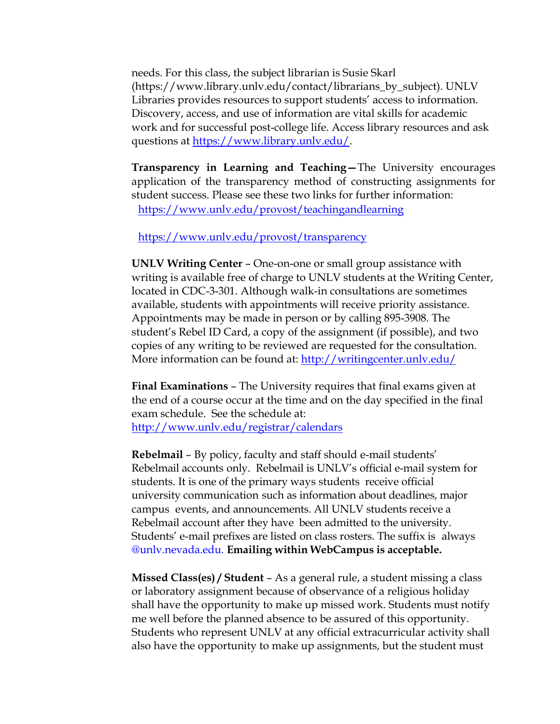needs. For this class, the subject librarian is Susie Skarl (https://www.library.unlv.edu/contact/librarians\_by\_subject). UNLV Libraries provides resources to support students' access to information. Discovery, access, and use of information are vital skills for academic work and for successful post-college life. Access library resources and ask questions at [https://www.library.unlv.edu/.](https://www.library.unlv.edu/)

**Transparency in Learning and Teaching—**The University encourages application of the transparency method of constructing assignments for student success. Please see these two links for further information: <https://www.unlv.edu/provost/teachingandlearning>

<https://www.unlv.edu/provost/transparency>

**UNLV Writing Center** – One-on-one or small group assistance with writing is available free of charge to UNLV students at the Writing Center, located in CDC-3-301. Although walk-in consultations are sometimes available, students with appointments will receive priority assistance. Appointments may be made in person or by calling 895-3908. The student's Rebel ID Card, a copy of the assignment (if possible), and two copies of any writing to be reviewed are requested for the consultation. More information can be found at: http://writingcenter.unly.edu/

**Final Examinations** – The University requires that final exams given at the end of a course occur at the time and on the day specified in the final exam schedule. See the schedule at: <http://www.unlv.edu/registrar/calendars>

**Rebelmail** – By policy, faculty and staff should e-mail students' Rebelmail accounts only. Rebelmail is UNLV's official e-mail system for students. It is one of the primary ways students receive official university communication such as information about deadlines, major campus events, and announcements. All UNLV students receive a Rebelmail account after they have been admitted to the university. Students' e-mail prefixes are listed on class rosters. The suffix is always @unlv.nevada.edu. **Emailing within WebCampus is acceptable.**

**Missed Class(es) / Student** – As a general rule, a student missing a class or laboratory assignment because of observance of a religious holiday shall have the opportunity to make up missed work. Students must notify me well before the planned absence to be assured of this opportunity. Students who represent UNLV at any official extracurricular activity shall also have the opportunity to make up assignments, but the student must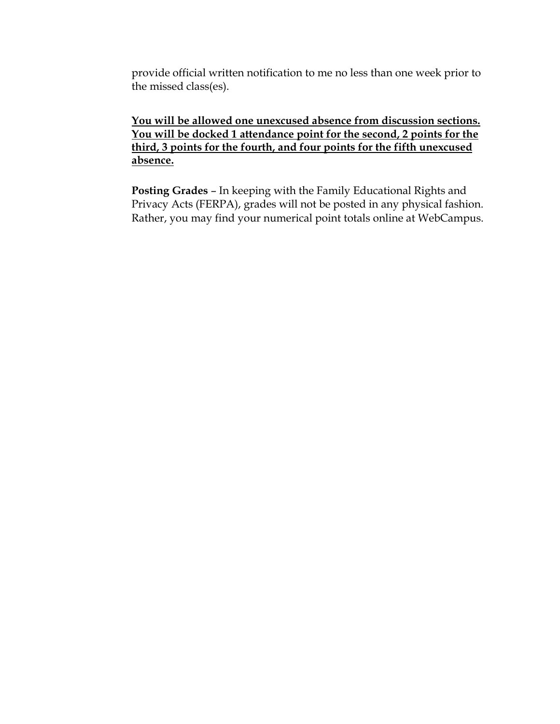provide official written notification to me no less than one week prior to the missed class(es).

**You will be allowed one unexcused absence from discussion sections. You will be docked 1 attendance point for the second, 2 points for the third, 3 points for the fourth, and four points for the fifth unexcused absence.**

**Posting Grades** – In keeping with the Family Educational Rights and Privacy Acts (FERPA), grades will not be posted in any physical fashion. Rather, you may find your numerical point totals online at WebCampus.